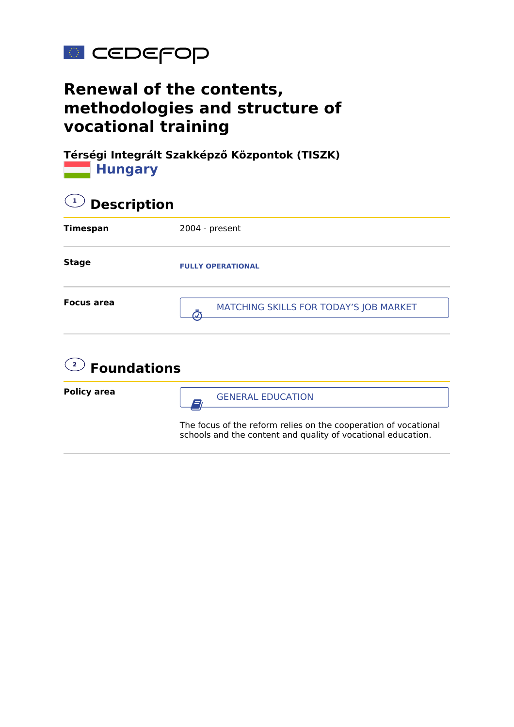

## **Renewal of the contents, methodologies and structure of vocational training**

**Térségi Integrált Szakképző Központok (TISZK) Hungary** 

| $\mathbf{1}$<br><b>Description</b> |                                                                                                                                 |  |
|------------------------------------|---------------------------------------------------------------------------------------------------------------------------------|--|
| Timespan                           | 2004 - present                                                                                                                  |  |
| <b>Stage</b>                       | <b>FULLY OPERATIONAL</b>                                                                                                        |  |
| <b>Focus area</b>                  | MATCHING SKILLS FOR TODAY'S JOB MARKET                                                                                          |  |
| $\mathbf{Q}$ Foundations           |                                                                                                                                 |  |
| <b>Policy area</b>                 | <b>GENERAL EDUCATION</b>                                                                                                        |  |
|                                    | The focus of the reform relies on the cooperation of vocational<br>schools and the content and quality of vocational education. |  |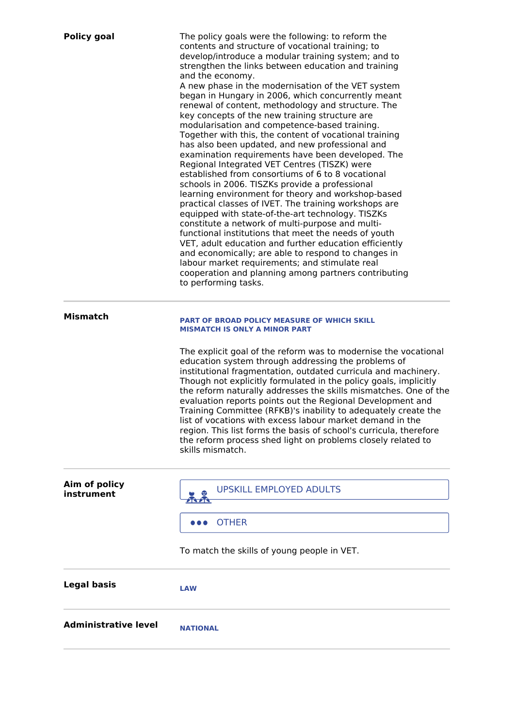| <b>Policy goal</b>          | The policy goals were the following: to reform the<br>contents and structure of vocational training; to<br>develop/introduce a modular training system; and to<br>strengthen the links between education and training<br>and the economy.<br>A new phase in the modernisation of the VET system<br>began in Hungary in 2006, which concurrently meant<br>renewal of content, methodology and structure. The<br>key concepts of the new training structure are<br>modularisation and competence-based training.<br>Together with this, the content of vocational training<br>has also been updated, and new professional and<br>examination requirements have been developed. The<br>Regional Integrated VET Centres (TISZK) were<br>established from consortiums of 6 to 8 vocational<br>schools in 2006. TISZKs provide a professional<br>learning environment for theory and workshop-based<br>practical classes of IVET. The training workshops are<br>equipped with state-of-the-art technology. TISZKs<br>constitute a network of multi-purpose and multi-<br>functional institutions that meet the needs of youth<br>VET, adult education and further education efficiently<br>and economically; are able to respond to changes in<br>labour market requirements; and stimulate real<br>cooperation and planning among partners contributing<br>to performing tasks. |
|-----------------------------|----------------------------------------------------------------------------------------------------------------------------------------------------------------------------------------------------------------------------------------------------------------------------------------------------------------------------------------------------------------------------------------------------------------------------------------------------------------------------------------------------------------------------------------------------------------------------------------------------------------------------------------------------------------------------------------------------------------------------------------------------------------------------------------------------------------------------------------------------------------------------------------------------------------------------------------------------------------------------------------------------------------------------------------------------------------------------------------------------------------------------------------------------------------------------------------------------------------------------------------------------------------------------------------------------------------------------------------------------------------------------|
| <b>Mismatch</b>             | PART OF BROAD POLICY MEASURE OF WHICH SKILL<br><b>MISMATCH IS ONLY A MINOR PART</b>                                                                                                                                                                                                                                                                                                                                                                                                                                                                                                                                                                                                                                                                                                                                                                                                                                                                                                                                                                                                                                                                                                                                                                                                                                                                                        |
|                             | The explicit goal of the reform was to modernise the vocational<br>education system through addressing the problems of<br>institutional fragmentation, outdated curricula and machinery.<br>Though not explicitly formulated in the policy goals, implicitly<br>the reform naturally addresses the skills mismatches. One of the<br>evaluation reports points out the Regional Development and<br>Training Committee (RFKB)'s inability to adequately create the<br>list of vocations with excess labour market demand in the<br>region. This list forms the basis of school's curricula, therefore<br>the reform process shed light on problems closely related to<br>skills mismatch.                                                                                                                                                                                                                                                                                                                                                                                                                                                                                                                                                                                                                                                                                    |
| Aim of policy<br>instrument | <b>UPSKILL EMPLOYED ADULTS</b><br>乐开                                                                                                                                                                                                                                                                                                                                                                                                                                                                                                                                                                                                                                                                                                                                                                                                                                                                                                                                                                                                                                                                                                                                                                                                                                                                                                                                       |
|                             | <b>OTHER</b><br>$\bullet\bullet\bullet$                                                                                                                                                                                                                                                                                                                                                                                                                                                                                                                                                                                                                                                                                                                                                                                                                                                                                                                                                                                                                                                                                                                                                                                                                                                                                                                                    |
|                             | To match the skills of young people in VET.                                                                                                                                                                                                                                                                                                                                                                                                                                                                                                                                                                                                                                                                                                                                                                                                                                                                                                                                                                                                                                                                                                                                                                                                                                                                                                                                |
| <b>Legal basis</b>          | <b>LAW</b>                                                                                                                                                                                                                                                                                                                                                                                                                                                                                                                                                                                                                                                                                                                                                                                                                                                                                                                                                                                                                                                                                                                                                                                                                                                                                                                                                                 |
| <b>Administrative level</b> | <b>NATIONAL</b>                                                                                                                                                                                                                                                                                                                                                                                                                                                                                                                                                                                                                                                                                                                                                                                                                                                                                                                                                                                                                                                                                                                                                                                                                                                                                                                                                            |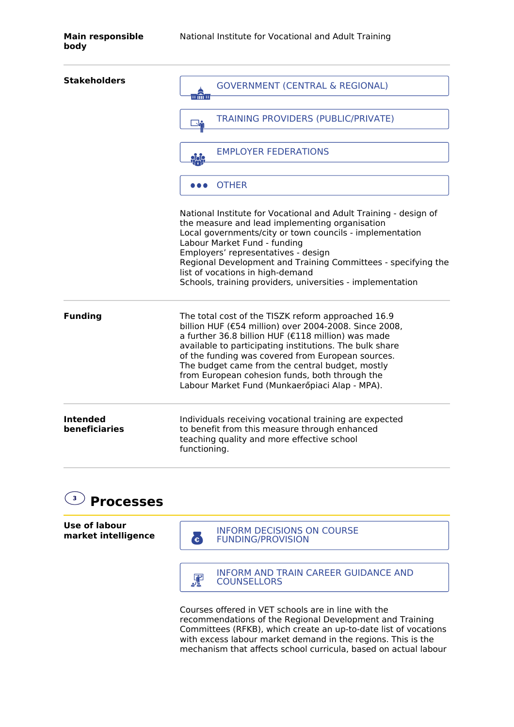| <b>Stakeholders</b>              | <b>GOVERNMENT (CENTRAL &amp; REGIONAL)</b><br>可而可                                                                                                                                                                                                                                                                                                                                                                                        |
|----------------------------------|------------------------------------------------------------------------------------------------------------------------------------------------------------------------------------------------------------------------------------------------------------------------------------------------------------------------------------------------------------------------------------------------------------------------------------------|
|                                  | <b>TRAINING PROVIDERS (PUBLIC/PRIVATE)</b>                                                                                                                                                                                                                                                                                                                                                                                               |
|                                  | <b>EMPLOYER FEDERATIONS</b><br><u>ဝင်ငံ</u><br>မူနာမ                                                                                                                                                                                                                                                                                                                                                                                     |
|                                  | <b>OTHER</b><br>.                                                                                                                                                                                                                                                                                                                                                                                                                        |
|                                  | National Institute for Vocational and Adult Training - design of<br>the measure and lead implementing organisation<br>Local governments/city or town councils - implementation<br>Labour Market Fund - funding<br>Employers' representatives - design<br>Regional Development and Training Committees - specifying the<br>list of vocations in high-demand<br>Schools, training providers, universities - implementation                 |
| <b>Funding</b>                   | The total cost of the TISZK reform approached 16.9<br>billion HUF (€54 million) over 2004-2008. Since 2008,<br>a further 36.8 billion HUF (€118 million) was made<br>available to participating institutions. The bulk share<br>of the funding was covered from European sources.<br>The budget came from the central budget, mostly<br>from European cohesion funds, both through the<br>Labour Market Fund (Munkaerőpiaci Alap - MPA). |
| <b>Intended</b><br>beneficiaries | Individuals receiving vocational training are expected<br>to benefit from this measure through enhanced<br>teaching quality and more effective school<br>functioning.                                                                                                                                                                                                                                                                    |



**Use of labour market intelligence**



INFORM AND TRAIN CAREER GUIDANCE AND COUNSELLORS

Courses offered in VET schools are in line with the recommendations of the Regional Development and Training Committees (RFKB), which create an up-to-date list of vocations with excess labour market demand in the regions. This is the mechanism that affects school curricula, based on actual labour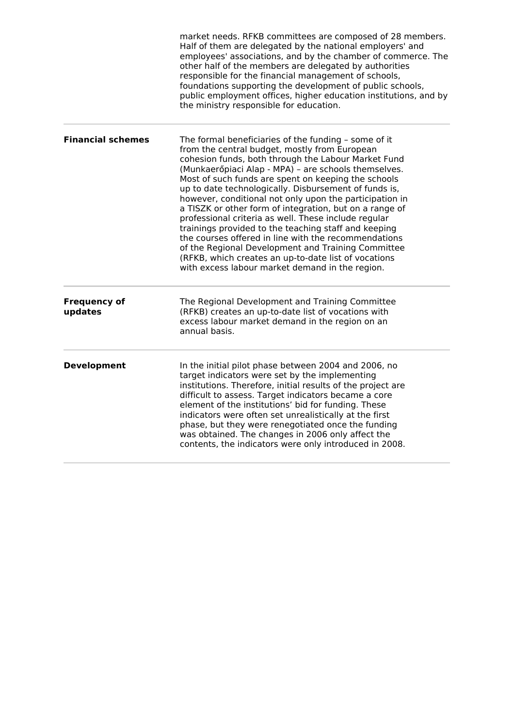|                                | market needs. RFKB committees are composed of 28 members.<br>Half of them are delegated by the national employers' and<br>employees' associations, and by the chamber of commerce. The<br>other half of the members are delegated by authorities<br>responsible for the financial management of schools,<br>foundations supporting the development of public schools,<br>public employment offices, higher education institutions, and by<br>the ministry responsible for education.                                                                                                                                                                                                                                                                                                                |
|--------------------------------|-----------------------------------------------------------------------------------------------------------------------------------------------------------------------------------------------------------------------------------------------------------------------------------------------------------------------------------------------------------------------------------------------------------------------------------------------------------------------------------------------------------------------------------------------------------------------------------------------------------------------------------------------------------------------------------------------------------------------------------------------------------------------------------------------------|
| <b>Financial schemes</b>       | The formal beneficiaries of the funding - some of it<br>from the central budget, mostly from European<br>cohesion funds, both through the Labour Market Fund<br>(Munkaerőpiaci Alap - MPA) - are schools themselves.<br>Most of such funds are spent on keeping the schools<br>up to date technologically. Disbursement of funds is,<br>however, conditional not only upon the participation in<br>a TISZK or other form of integration, but on a range of<br>professional criteria as well. These include regular<br>trainings provided to the teaching staff and keeping<br>the courses offered in line with the recommendations<br>of the Regional Development and Training Committee<br>(RFKB, which creates an up-to-date list of vocations<br>with excess labour market demand in the region. |
| <b>Frequency of</b><br>updates | The Regional Development and Training Committee<br>(RFKB) creates an up-to-date list of vocations with<br>excess labour market demand in the region on an<br>annual basis.                                                                                                                                                                                                                                                                                                                                                                                                                                                                                                                                                                                                                          |
| <b>Development</b>             | In the initial pilot phase between 2004 and 2006, no<br>target indicators were set by the implementing<br>institutions. Therefore, initial results of the project are<br>difficult to assess. Target indicators became a core<br>element of the institutions' bid for funding. These<br>indicators were often set unrealistically at the first<br>phase, but they were renegotiated once the funding<br>was obtained. The changes in 2006 only affect the<br>contents, the indicators were only introduced in 2008.                                                                                                                                                                                                                                                                                 |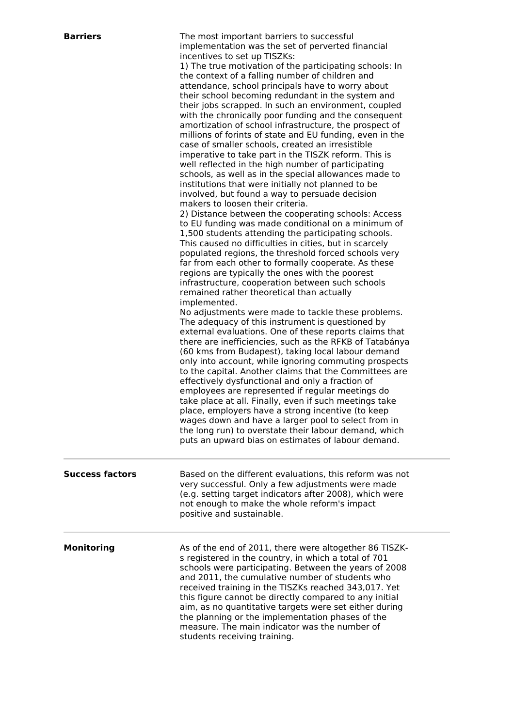|                        | implementation was the set of perverted financial<br>incentives to set up TISZKs:<br>1) The true motivation of the participating schools: In<br>the context of a falling number of children and<br>attendance, school principals have to worry about<br>their school becoming redundant in the system and<br>their jobs scrapped. In such an environment, coupled<br>with the chronically poor funding and the consequent<br>amortization of school infrastructure, the prospect of<br>millions of forints of state and EU funding, even in the<br>case of smaller schools, created an irresistible<br>imperative to take part in the TISZK reform. This is<br>well reflected in the high number of participating<br>schools, as well as in the special allowances made to<br>institutions that were initially not planned to be<br>involved, but found a way to persuade decision<br>makers to loosen their criteria.<br>2) Distance between the cooperating schools: Access<br>to EU funding was made conditional on a minimum of<br>1,500 students attending the participating schools.<br>This caused no difficulties in cities, but in scarcely<br>populated regions, the threshold forced schools very<br>far from each other to formally cooperate. As these<br>regions are typically the ones with the poorest<br>infrastructure, cooperation between such schools<br>remained rather theoretical than actually<br>implemented.<br>No adjustments were made to tackle these problems.<br>The adequacy of this instrument is questioned by<br>external evaluations. One of these reports claims that<br>there are inefficiencies, such as the RFKB of Tatabánya<br>(60 kms from Budapest), taking local labour demand<br>only into account, while ignoring commuting prospects<br>to the capital. Another claims that the Committees are<br>effectively dysfunctional and only a fraction of<br>employees are represented if regular meetings do<br>take place at all. Finally, even if such meetings take<br>place, employers have a strong incentive (to keep<br>wages down and have a larger pool to select from in<br>the long run) to overstate their labour demand, which |
|------------------------|----------------------------------------------------------------------------------------------------------------------------------------------------------------------------------------------------------------------------------------------------------------------------------------------------------------------------------------------------------------------------------------------------------------------------------------------------------------------------------------------------------------------------------------------------------------------------------------------------------------------------------------------------------------------------------------------------------------------------------------------------------------------------------------------------------------------------------------------------------------------------------------------------------------------------------------------------------------------------------------------------------------------------------------------------------------------------------------------------------------------------------------------------------------------------------------------------------------------------------------------------------------------------------------------------------------------------------------------------------------------------------------------------------------------------------------------------------------------------------------------------------------------------------------------------------------------------------------------------------------------------------------------------------------------------------------------------------------------------------------------------------------------------------------------------------------------------------------------------------------------------------------------------------------------------------------------------------------------------------------------------------------------------------------------------------------------------------------------------------------------------------------------------------------------------------------|
| <b>Success factors</b> | puts an upward bias on estimates of labour demand.<br>Based on the different evaluations, this reform was not<br>very successful. Only a few adjustments were made<br>(e.g. setting target indicators after 2008), which were<br>not enough to make the whole reform's impact<br>positive and sustainable.                                                                                                                                                                                                                                                                                                                                                                                                                                                                                                                                                                                                                                                                                                                                                                                                                                                                                                                                                                                                                                                                                                                                                                                                                                                                                                                                                                                                                                                                                                                                                                                                                                                                                                                                                                                                                                                                             |
| <b>Monitoring</b>      | As of the end of 2011, there were altogether 86 TISZK-<br>s registered in the country, in which a total of 701<br>schools were participating. Between the years of 2008<br>and 2011, the cumulative number of students who<br>received training in the TISZKs reached 343,017. Yet<br>this figure cannot be directly compared to any initial<br>aim, as no quantitative targets were set either during<br>the planning or the implementation phases of the<br>measure. The main indicator was the number of<br>students receiving training.                                                                                                                                                                                                                                                                                                                                                                                                                                                                                                                                                                                                                                                                                                                                                                                                                                                                                                                                                                                                                                                                                                                                                                                                                                                                                                                                                                                                                                                                                                                                                                                                                                            |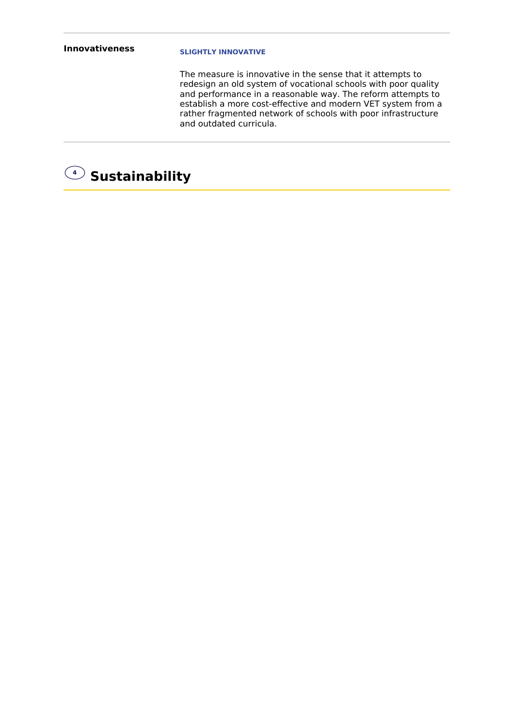## **SLIGHTLY INNOVATIVE**

The measure is innovative in the sense that it attempts to redesign an old system of vocational schools with poor quality and performance in a reasonable way. The reform attempts to establish a more cost-effective and modern VET system from a rather fragmented network of schools with poor infrastructure and outdated curricula.

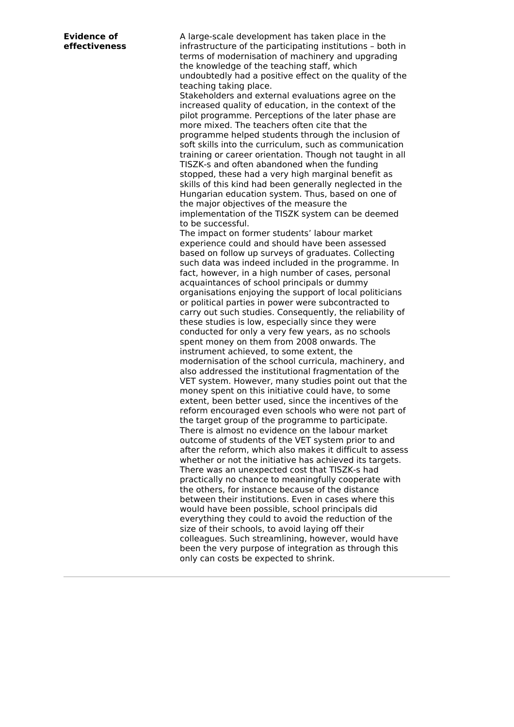A large-scale development has taken place in the infrastructure of the participating institutions – both in terms of modernisation of machinery and upgrading the knowledge of the teaching staff, which undoubtedly had a positive effect on the quality of the teaching taking place.

Stakeholders and external evaluations agree on the increased quality of education, in the context of the pilot programme. Perceptions of the later phase are more mixed. The teachers often cite that the programme helped students through the inclusion of soft skills into the curriculum, such as communication training or career orientation. Though not taught in all TISZK-s and often abandoned when the funding stopped, these had a very high marginal benefit as skills of this kind had been generally neglected in the Hungarian education system. Thus, based on one of the major objectives of the measure the implementation of the TISZK system can be deemed to be successful.

The impact on former students' labour market experience could and should have been assessed based on follow up surveys of graduates. Collecting such data was indeed included in the programme. In fact, however, in a high number of cases, personal acquaintances of school principals or dummy organisations enjoying the support of local politicians or political parties in power were subcontracted to carry out such studies. Consequently, the reliability of these studies is low, especially since they were conducted for only a very few years, as no schools spent money on them from 2008 onwards. The instrument achieved, to some extent, the modernisation of the school curricula, machinery, and also addressed the institutional fragmentation of the VET system. However, many studies point out that the money spent on this initiative could have, to some extent, been better used, since the incentives of the reform encouraged even schools who were not part of the target group of the programme to participate. There is almost no evidence on the labour market outcome of students of the VET system prior to and after the reform, which also makes it difficult to assess whether or not the initiative has achieved its targets. There was an unexpected cost that TISZK-s had practically no chance to meaningfully cooperate with the others, for instance because of the distance between their institutions. Even in cases where this would have been possible, school principals did everything they could to avoid the reduction of the size of their schools, to avoid laying off their colleagues. Such streamlining, however, would have been the very purpose of integration as through this only can costs be expected to shrink.